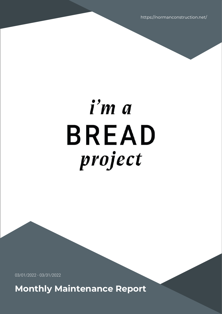https://normanconstruction.net/

# i'm a **BREAD** project

03/01/2022 - 03/31/2022

**Monthly Maintenance Report**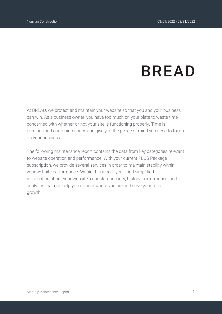# **BREAD**

At BREAD, we protect and maintain your website so that you and your business can win. As a business owner, you have too much on your plate to waste time concerned with whether-or-not your site is functioning properly. Time is precious and our maintenance can give you the peace of mind you need to focus on your business.

The following maintenance report contains the data from key categories relevant to website operation and performance. With your current PLUS Package subscription, we provide several services in order to maintain stability within your website performance. Within this report, you'll find simplified information about your website's updates, security, history, performance, and analytics that can help you discern where you are and drive your future growth.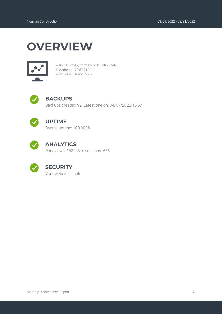### **OVERVIEW**



Website: https://normanconstruction.net/ IP Address: 172.67.212.111 WordPress Version: 5.9.2



### **BACKUPS**

Backups created: 92; Latest one on: 04/07/2022 15:57



#### **UPTIME**

Overall uptime: 100.000%



### **ANALYTICS**

Pageviews: 1632; Site sessions: 676



### **SECURITY**

Your website is safe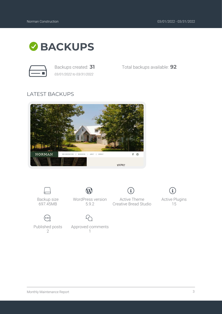

*03/01/2022 to 03/31/2022*

Backups created: **31** Total backups available: **92**

### LATEST BACKUPS





1

 $\mathcal{D}$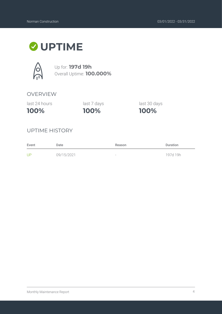### **UPTIME**



Up for: **197d 19h** Overall Uptime: **100.000%**

#### OVERVIEW

last 24 hours

**100%**

**100%** last 7 days last 30 days

**100%**

### UPTIME HISTORY

| Event | Date       | Reason                   | <b>Duration</b> |
|-------|------------|--------------------------|-----------------|
| UP    | 09/15/2021 | $\overline{\phantom{a}}$ | 197d 19h        |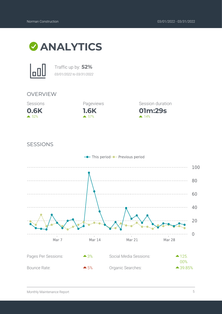



Traffic up by: **52%** *03/01/2022 to 03/31/2022*

#### OVERVIEW





**01m:29s** Session duration

 $\triangle$  14%

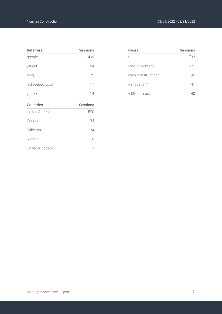| <b>Referrers</b>     | <b>Sessions</b> |
|----------------------|-----------------|
| google               | 499             |
| (direct)             | 84              |
| bing                 | 25              |
| m.facebook.com       | 17              |
| yahoo                | 14              |
|                      |                 |
| <b>Countries</b>     | <b>Sessions</b> |
| <b>United States</b> | 570             |
| Canada               | 34              |
| Pakistan             | 24              |
| Nigeria              | 10              |

| Pages              | <b>Sessions</b> |
|--------------------|-----------------|
|                    | 732             |
| /about-norman/     | 471             |
| /new-construction/ | 149             |
| /renovation/       | 141             |
| /cliff-norman/     |                 |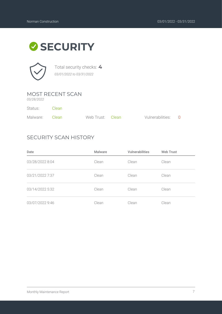### **SECURITY**



Total security checks: **4** *03/01/2022 to 03/31/2022*

### MOST RECENT SCAN

*03/28/2022*

| Status:        | - Clean |                  |                    |  |
|----------------|---------|------------------|--------------------|--|
| Malware: Clean |         | Web Trust: Clean | Vulnerabilities: 0 |  |

### SECURITY SCAN HISTORY

| Date            | <b>Malware</b> | <b>Vulnerabilities</b> | <b>Web Trust</b> |
|-----------------|----------------|------------------------|------------------|
| 03/28/2022 8:04 | Clean          | Clean                  | Clean            |
| 03/21/2022 7:37 | Clean          | Clean                  | Clean            |
| 03/14/2022 5:32 | Clean          | Clean                  | Clean            |
| 03/07/2022 9:46 | Clean          | Clean                  | Clean            |